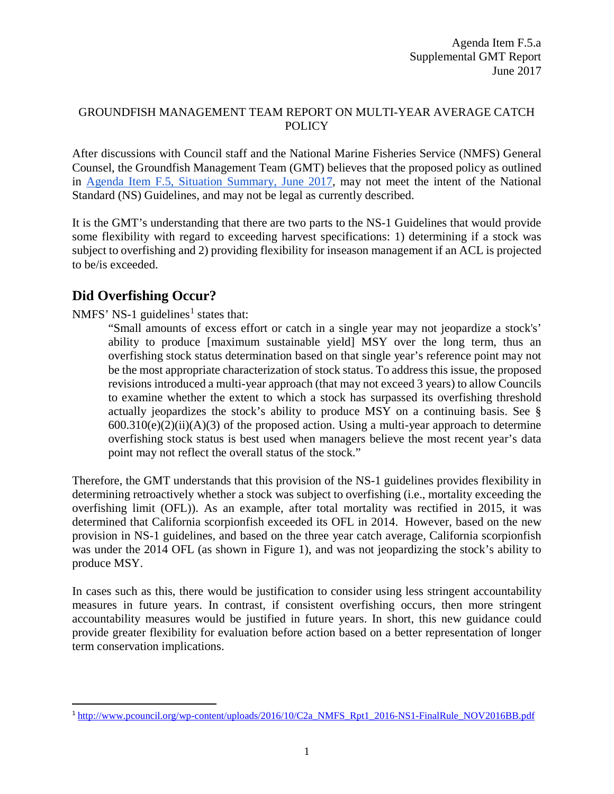## GROUNDFISH MANAGEMENT TEAM REPORT ON MULTI-YEAR AVERAGE CATCH POLICY

After discussions with Council staff and the National Marine Fisheries Service (NMFS) General Counsel, the Groundfish Management Team (GMT) believes that the proposed policy as outlined in [Agenda Item F.5, Situation Summary, June 2017,](http://www.pcouncil.org/wp-content/uploads/2017/05/F5__SitSum_Multi-year_Ave_Catch_Policy_Jun2017BB.pdf) may not meet the intent of the National Standard (NS) Guidelines, and may not be legal as currently described.

It is the GMT's understanding that there are two parts to the NS-1 Guidelines that would provide some flexibility with regard to exceeding harvest specifications: 1) determining if a stock was subject to overfishing and 2) providing flexibility for inseason management if an ACL is projected to be/is exceeded.

## **Did Overfishing Occur?**

NMFS' NS-[1](#page-0-0) guidelines<sup>1</sup> states that:

"Small amounts of excess effort or catch in a single year may not jeopardize a stock's' ability to produce [maximum sustainable yield] MSY over the long term, thus an overfishing stock status determination based on that single year's reference point may not be the most appropriate characterization of stock status. To address this issue, the proposed revisions introduced a multi-year approach (that may not exceed 3 years) to allow Councils to examine whether the extent to which a stock has surpassed its overfishing threshold actually jeopardizes the stock's ability to produce MSY on a continuing basis. See §  $600.310(e)(2)(ii)(A)(3)$  of the proposed action. Using a multi-year approach to determine overfishing stock status is best used when managers believe the most recent year's data point may not reflect the overall status of the stock."

Therefore, the GMT understands that this provision of the NS-1 guidelines provides flexibility in determining retroactively whether a stock was subject to overfishing (i.e., mortality exceeding the overfishing limit (OFL)). As an example, after total mortality was rectified in 2015, it was determined that California scorpionfish exceeded its OFL in 2014. However, based on the new provision in NS-1 guidelines, and based on the three year catch average, California scorpionfish was under the 2014 OFL (as shown in [Figure 1\)](#page-1-0), and was not jeopardizing the stock's ability to produce MSY.

In cases such as this, there would be justification to consider using less stringent accountability measures in future years. In contrast, if consistent overfishing occurs, then more stringent accountability measures would be justified in future years. In short, this new guidance could provide greater flexibility for evaluation before action based on a better representation of longer term conservation implications.

<span id="page-0-0"></span><sup>&</sup>lt;sup>1</sup> [http://www.pcouncil.org/wp-content/uploads/2016/10/C2a\\_NMFS\\_Rpt1\\_2016-NS1-FinalRule\\_NOV2016BB.pdf](http://www.pcouncil.org/wp-content/uploads/2016/10/C2a_NMFS_Rpt1_2016-NS1-FinalRule_NOV2016BB.pdf)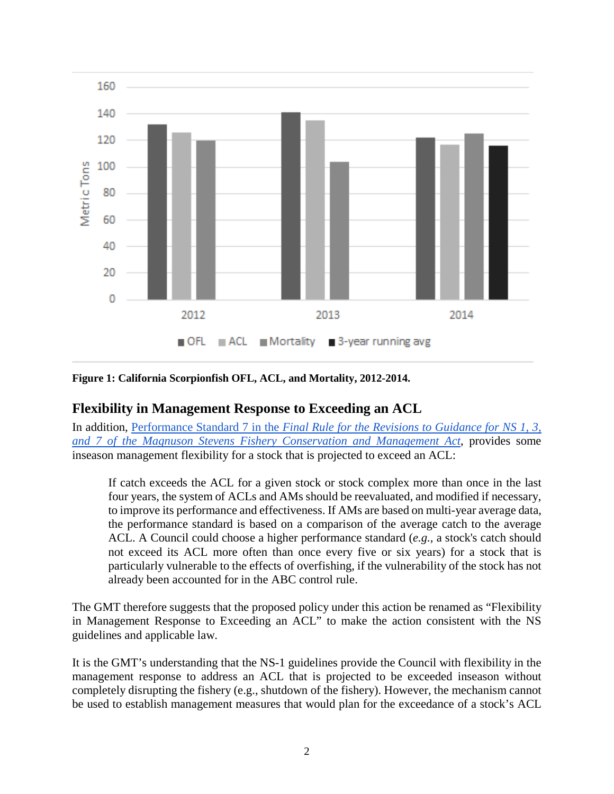

<span id="page-1-0"></span>**Figure 1: California Scorpionfish OFL, ACL, and Mortality, 2012-2014.**

## **Flexibility in Management Response to Exceeding an ACL**

In addition, Performance Standard 7 in the *[Final Rule for the Revisions to Guidance for NS 1, 3,](https://www.federalregister.gov/documents/2016/10/18/2016-24500/magnuson-stevens-act-provisions-national-standard-guidelines#p-506)  [and 7 of the Magnuson Stevens Fishery Conservation and Management Act](https://www.federalregister.gov/documents/2016/10/18/2016-24500/magnuson-stevens-act-provisions-national-standard-guidelines#p-506)*, provides some inseason management flexibility for a stock that is projected to exceed an ACL:

If catch exceeds the ACL for a given stock or stock complex more than once in the last four years, the system of ACLs and AMs should be reevaluated, and modified if necessary, to improve its performance and effectiveness. If AMs are based on multi-year average data, the performance standard is based on a comparison of the average catch to the average ACL. A Council could choose a higher performance standard (*e.g.,* a stock's catch should not exceed its ACL more often than once every five or six years) for a stock that is particularly vulnerable to the effects of overfishing, if the vulnerability of the stock has not already been accounted for in the ABC control rule.

The GMT therefore suggests that the proposed policy under this action be renamed as "Flexibility in Management Response to Exceeding an ACL" to make the action consistent with the NS guidelines and applicable law.

It is the GMT's understanding that the NS-1 guidelines provide the Council with flexibility in the management response to address an ACL that is projected to be exceeded inseason without completely disrupting the fishery (e.g., shutdown of the fishery). However, the mechanism cannot be used to establish management measures that would plan for the exceedance of a stock's ACL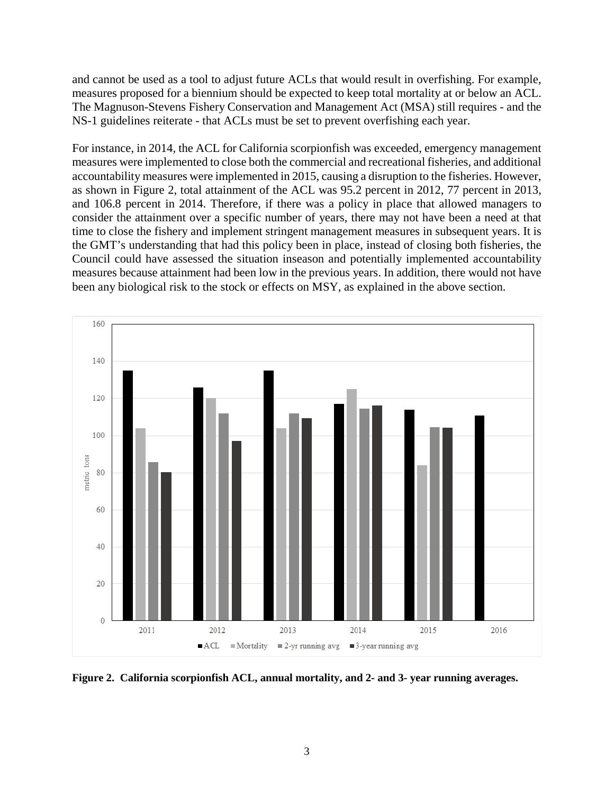and cannot be used as a tool to adjust future ACLs that would result in overfishing. For example, measures proposed for a biennium should be expected to keep total mortality at or below an ACL. The Magnuson-Stevens Fishery Conservation and Management Act (MSA) still requires - and the NS-1 guidelines reiterate - that ACLs must be set to prevent overfishing each year.

For instance, in 2014, the ACL for California scorpionfish was exceeded, emergency management measures were implemented to close both the commercial and recreational fisheries, and additional accountability measures were implemented in 2015, causing a disruption to the fisheries. However, as shown in [Figure 2,](#page-2-0) total attainment of the ACL was 95.2 percent in 2012, 77 percent in 2013, and 106.8 percent in 2014. Therefore, if there was a policy in place that allowed managers to consider the attainment over a specific number of years, there may not have been a need at that time to close the fishery and implement stringent management measures in subsequent years. It is the GMT's understanding that had this policy been in place, instead of closing both fisheries, the Council could have assessed the situation inseason and potentially implemented accountability measures because attainment had been low in the previous years. In addition, there would not have been any biological risk to the stock or effects on MSY, as explained in the above section.



<span id="page-2-0"></span>**Figure 2. California scorpionfish ACL, annual mortality, and 2- and 3- year running averages.**